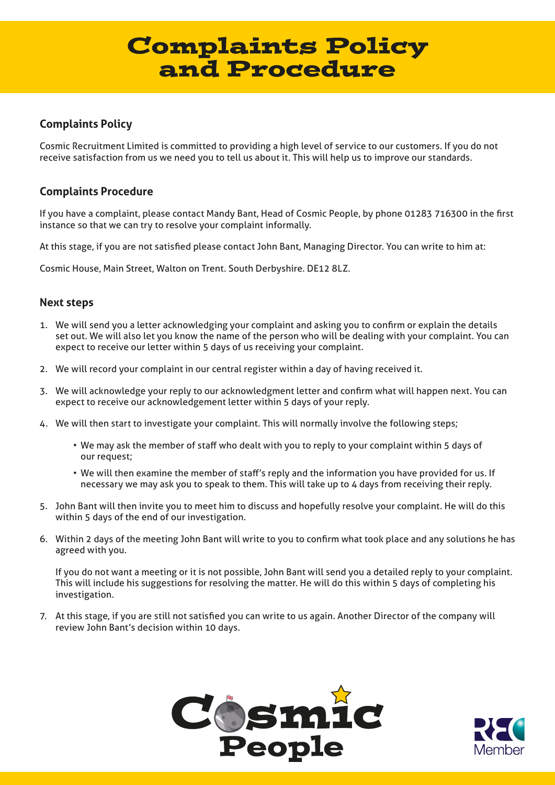# Complaints Policy and Procedure

## **Complaints Policy**

Cosmic Recruitment Limited is committed to providing a high level of service to our customers. If you do not receive satisfaction from us we need you to tell us about it. This will help us to improve our standards.

### **Complaints Procedure**

If you have a complaint, please contact Mandy Bant, Head of Cosmic People, by phone 01283 716300 in the first instance so that we can try to resolve your complaint informally.

At this stage, if you are not satisfied please contact John Bant, Managing Director. You can write to him at:

Cosmic House, Main Street, Walton on Trent. South Derbyshire. DE12 8LZ.

### **Next steps**

- 1. We will send you a letter acknowledging your complaint and asking you to confirm or explain the details set out. We will also let you know the name of the person who will be dealing with your complaint. You can expect to receive our letter within 5 days of us receiving your complaint.
- 2. We will record your complaint in our central register within a day of having received it.
- 3. We will acknowledge your reply to our acknowledgment letter and confirm what will happen next. You can expect to receive our acknowledgement letter within 5 days of your reply.
- 4. We will then start to investigate your complaint. This will normally involve the following steps;
	- We may ask the member of staff who dealt with you to reply to your complaint within 5 days of our request;
	- We will then examine the member of staff's reply and the information you have provided for us. If necessary we may ask you to speak to them. This will take up to 4 days from receiving their reply.
- 5. John Bant will then invite you to meet him to discuss and hopefully resolve your complaint. He will do this within 5 days of the end of our investigation.
- 6. Within 2 days of the meeting John Bant will write to you to confirm what took place and any solutions he has agreed with you.

If you do not want a meeting or it is not possible, John Bant will send you a detailed reply to your complaint. This will include his suggestions for resolving the matter. He will do this within 5 days of completing his investigation.

7. At this stage, if you are still not satisfied you can write to us again. Another Director of the company will review John Bant's decision within 10 days.